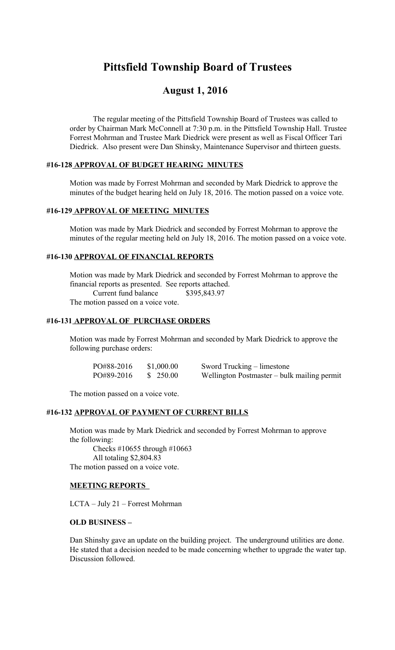# **Pittsfield Township Board of Trustees**

## **August 1, 2016**

The regular meeting of the Pittsfield Township Board of Trustees was called to order by Chairman Mark McConnell at 7:30 p.m. in the Pittsfield Township Hall. Trustee Forrest Mohrman and Trustee Mark Diedrick were present as well as Fiscal Officer Tari Diedrick. Also present were Dan Shinsky, Maintenance Supervisor and thirteen guests.

## **#16-128 APPROVAL OF BUDGET HEARING MINUTES**

Motion was made by Forrest Mohrman and seconded by Mark Diedrick to approve the minutes of the budget hearing held on July 18, 2016. The motion passed on a voice vote.

### **#16-129 APPROVAL OF MEETING MINUTES**

Motion was made by Mark Diedrick and seconded by Forrest Mohrman to approve the minutes of the regular meeting held on July 18, 2016. The motion passed on a voice vote.

#### **#16-130 APPROVAL OF FINANCIAL REPORTS**

Motion was made by Mark Diedrick and seconded by Forrest Mohrman to approve the financial reports as presented. See reports attached. Current fund balance \$395,843.97 The motion passed on a voice vote.

#### **#16-131 APPROVAL OF PURCHASE ORDERS**

Motion was made by Forrest Mohrman and seconded by Mark Diedrick to approve the following purchase orders:

| PO#88-2016 | \$1,000.00 | Sword Trucking – limestone                  |
|------------|------------|---------------------------------------------|
| PO#89-2016 | \$250.00   | Wellington Postmaster – bulk mailing permit |

The motion passed on a voice vote.

#### **#16-132 APPROVAL OF PAYMENT OF CURRENT BILLS**

Motion was made by Mark Diedrick and seconded by Forrest Mohrman to approve the following:

 Checks #10655 through #10663 All totaling \$2,804.83 The motion passed on a voice vote.

#### **MEETING REPORTS**

LCTA – July 21 – Forrest Mohrman

#### **OLD BUSINESS –**

Dan Shinshy gave an update on the building project. The underground utilities are done. He stated that a decision needed to be made concerning whether to upgrade the water tap. Discussion followed.